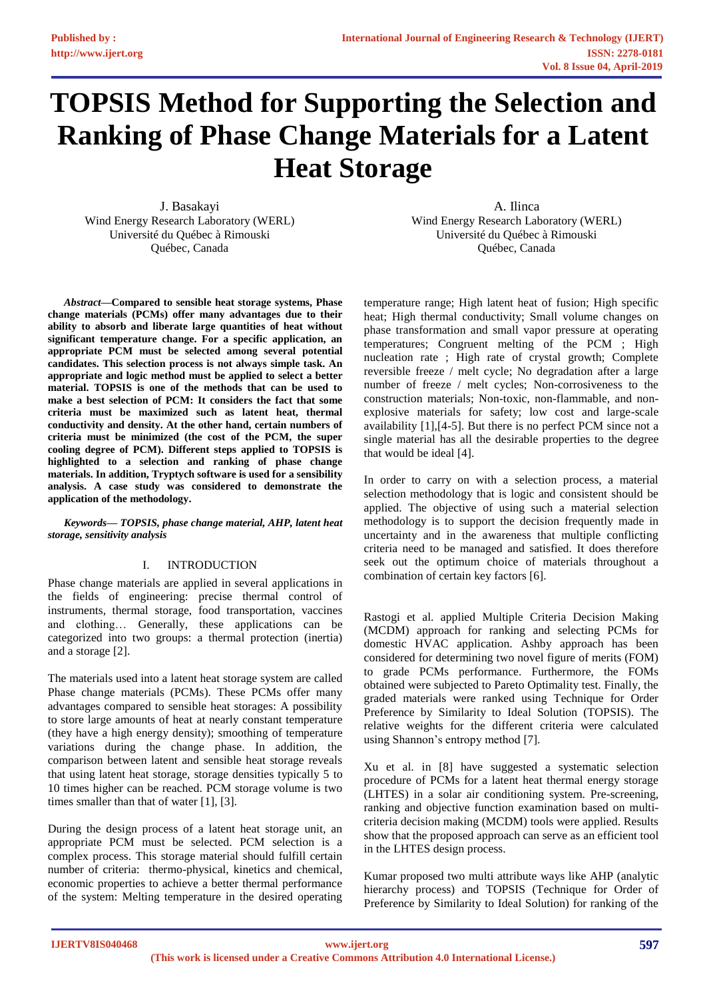# **TOPSIS Method for Supporting the Selection and Ranking of Phase Change Materials for a Latent Heat Storage**

J. Basakayi Wind Energy Research Laboratory (WERL) Université du Québec à Rimouski Québec, Canada

*Abstract***—Compared to sensible heat storage systems, Phase change materials (PCMs) offer many advantages due to their ability to absorb and liberate large quantities of heat without significant temperature change. For a specific application, an appropriate PCM must be selected among several potential candidates. This selection process is not always simple task. An appropriate and logic method must be applied to select a better material. TOPSIS is one of the methods that can be used to make a best selection of PCM: It considers the fact that some criteria must be maximized such as latent heat, thermal conductivity and density. At the other hand, certain numbers of criteria must be minimized (the cost of the PCM, the super cooling degree of PCM). Different steps applied to TOPSIS is highlighted to a selection and ranking of phase change materials. In addition, Tryptych software is used for a sensibility analysis. A case study was considered to demonstrate the application of the methodology.**

*Keywords— TOPSIS, phase change material, AHP, latent heat storage, sensitivity analysis*

#### I. INTRODUCTION

Phase change materials are applied in several applications in the fields of engineering: precise thermal control of instruments, thermal storage, food transportation, vaccines and clothing… Generally, these applications can be categorized into two groups: a thermal protection (inertia) and a storage [2].

The materials used into a latent heat storage system are called Phase change materials (PCMs). These PCMs offer many advantages compared to sensible heat storages: A possibility to store large amounts of heat at nearly constant temperature (they have a high energy density); smoothing of temperature variations during the change phase. In addition, the comparison between latent and sensible heat storage reveals that using latent heat storage, storage densities typically 5 to 10 times higher can be reached. PCM storage volume is two times smaller than that of water [1], [3].

During the design process of a latent heat storage unit, an appropriate PCM must be selected. PCM selection is a complex process. This storage material should fulfill certain number of criteria: thermo-physical, kinetics and chemical, economic properties to achieve a better thermal performance of the system: Melting temperature in the desired operating

A. Ilinca Wind Energy Research Laboratory (WERL) Université du Québec à Rimouski Québec, Canada

temperature range; High latent heat of fusion; High specific heat; High thermal conductivity; Small volume changes on phase transformation and small vapor pressure at operating temperatures; Congruent melting of the PCM ; High nucleation rate ; High rate of crystal growth; Complete reversible freeze / melt cycle; No degradation after a large number of freeze / melt cycles; Non-corrosiveness to the construction materials; Non-toxic, non-flammable, and nonexplosive materials for safety; low cost and large-scale availability [1],[4-5]. But there is no perfect PCM since not a single material has all the desirable properties to the degree that would be ideal [4].

In order to carry on with a selection process, a material selection methodology that is logic and consistent should be applied. The objective of using such a material selection methodology is to support the decision frequently made in uncertainty and in the awareness that multiple conflicting criteria need to be managed and satisfied. It does therefore seek out the optimum choice of materials throughout a combination of certain key factors [6].

Rastogi et al. applied Multiple Criteria Decision Making (MCDM) approach for ranking and selecting PCMs for domestic HVAC application. Ashby approach has been considered for determining two novel figure of merits (FOM) to grade PCMs performance. Furthermore, the FOMs obtained were subjected to Pareto Optimality test. Finally, the graded materials were ranked using Technique for Order Preference by Similarity to Ideal Solution (TOPSIS). The relative weights for the different criteria were calculated using Shannon's entropy method [7].

Xu et al. in [8] have suggested a systematic selection procedure of PCMs for a latent heat thermal energy storage (LHTES) in a solar air conditioning system. Pre-screening, ranking and objective function examination based on multicriteria decision making (MCDM) tools were applied. Results show that the proposed approach can serve as an efficient tool in the LHTES design process.

Kumar proposed two multi attribute ways like AHP (analytic hierarchy process) and TOPSIS (Technique for Order of Preference by Similarity to Ideal Solution) for ranking of the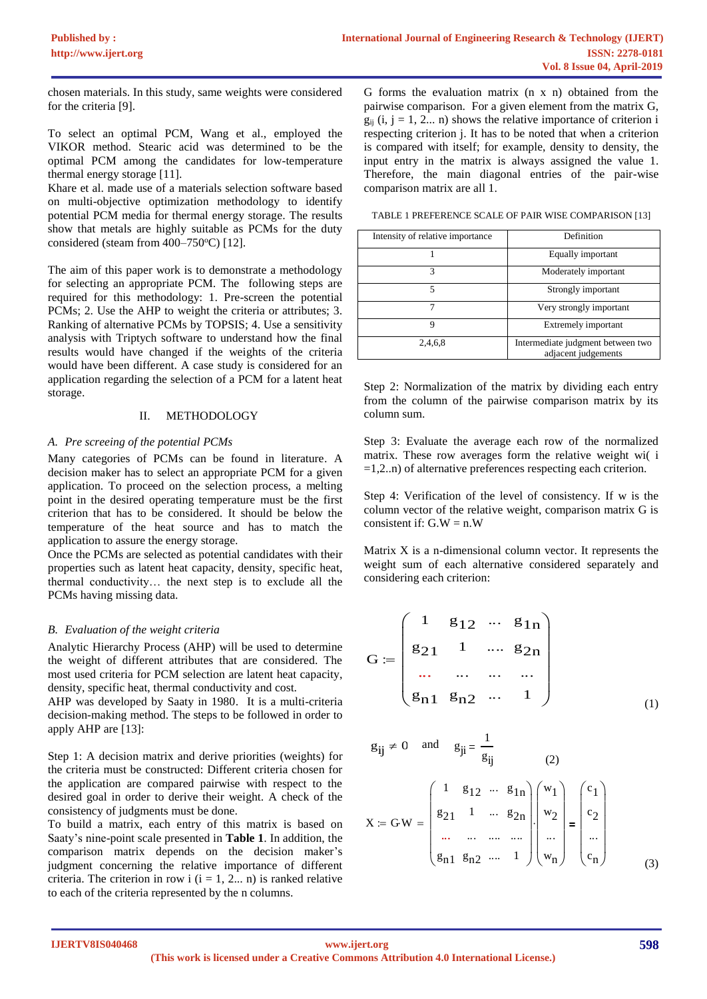chosen materials. In this study, same weights were considered for the criteria [9].

To select an optimal PCM, Wang et al., employed the VIKOR method. Stearic acid was determined to be the optimal PCM among the candidates for low-temperature thermal energy storage [11].

Khare et al. made use of a materials selection software based on multi-objective optimization methodology to identify potential PCM media for thermal energy storage. The results show that metals are highly suitable as PCMs for the duty considered (steam from  $400-750$ °C) [12].

The aim of this paper work is to demonstrate a methodology for selecting an appropriate PCM. The following steps are required for this methodology: 1. Pre-screen the potential PCMs; 2. Use the AHP to weight the criteria or attributes; 3. Ranking of alternative PCMs by TOPSIS; 4. Use a sensitivity analysis with Triptych software to understand how the final results would have changed if the weights of the criteria would have been different. A case study is considered for an application regarding the selection of a PCM for a latent heat storage.

#### II. METHODOLOGY

## *A. Pre screeing of the potential PCMs*

Many categories of PCMs can be found in literature. A decision maker has to select an appropriate PCM for a given application. To proceed on the selection process, a melting point in the desired operating temperature must be the first criterion that has to be considered. It should be below the temperature of the heat source and has to match the application to assure the energy storage.

Once the PCMs are selected as potential candidates with their properties such as latent heat capacity, density, specific heat, thermal conductivity… the next step is to exclude all the PCMs having missing data.

#### *B. Evaluation of the weight criteria*

Analytic Hierarchy Process (AHP) will be used to determine the weight of different attributes that are considered. The most used criteria for PCM selection are latent heat capacity, density, specific heat, thermal conductivity and cost.

AHP was developed by Saaty in 1980. It is a multi-criteria decision-making method. The steps to be followed in order to apply AHP are [13]:

Step 1: A decision matrix and derive priorities (weights) for the criteria must be constructed: Different criteria chosen for the application are compared pairwise with respect to the desired goal in order to derive their weight. A check of the consistency of judgments must be done.

To build a matrix, each entry of this matrix is based on Saaty's nine-point scale presented in **Table 1**. In addition, the comparison matrix depends on the decision maker's judgment concerning the relative importance of different criteria. The criterion in row i  $(i = 1, 2... n)$  is ranked relative to each of the criteria represented by the n columns.

G forms the evaluation matrix (n x n) obtained from the pairwise comparison. For a given element from the matrix G,  $g_{ii}$  (i, j = 1, 2... n) shows the relative importance of criterion i respecting criterion j. It has to be noted that when a criterion is compared with itself; for example, density to density, the input entry in the matrix is always assigned the value 1. Therefore, the main diagonal entries of the pair-wise comparison matrix are all 1.

TABLE 1 PREFERENCE SCALE OF PAIR WISE COMPARISON [13]

| Intensity of relative importance | Definition                                               |
|----------------------------------|----------------------------------------------------------|
|                                  | Equally important                                        |
| 3                                | Moderately important                                     |
| 5                                | Strongly important                                       |
|                                  | Very strongly important                                  |
| 9                                | <b>Extremely important</b>                               |
| 2.4.6.8                          | Intermediate judgment between two<br>adjacent judgements |

Step 2: Normalization of the matrix by dividing each entry from the column of the pairwise comparison matrix by its column sum.

Step 3: Evaluate the average each row of the normalized matrix. These row averages form the relative weight wi( i  $=1,2...$ ) of alternative preferences respecting each criterion.

Step 4: Verification of the level of consistency. If w is the column vector of the relative weight, comparison matrix G is consistent if:  $G.W = n.W$ 

Matrix X is a n-dimensional column vector. It represents the weight sum of each alternative considered separately and considering each criterion:

$$
G := \begin{pmatrix} 1 & g_{12} & \cdots & g_{1n} \\ g_{21} & 1 & \cdots & g_{2n} \\ \cdots & \cdots & \cdots & \cdots \\ g_{n1} & g_{n2} & \cdots & 1 \end{pmatrix}
$$
 (1)

$$
g_{ij} \neq 0
$$
 and  $g_{ji} = \frac{1}{g_{ij}}$   
\n $X = GW = \begin{pmatrix} 1 & g_{12} & \cdots & g_{1n} \\ g_{21} & 1 & \cdots & g_{2n} \\ \vdots & \vdots & \ddots & \vdots \\ g_{n1} & g_{n2} & \cdots & 1 \end{pmatrix} \begin{pmatrix} w_1 \\ w_2 \\ \vdots \\ w_n \end{pmatrix} = \begin{pmatrix} c_1 \\ c_2 \\ \vdots \\ c_n \end{pmatrix}$  (3)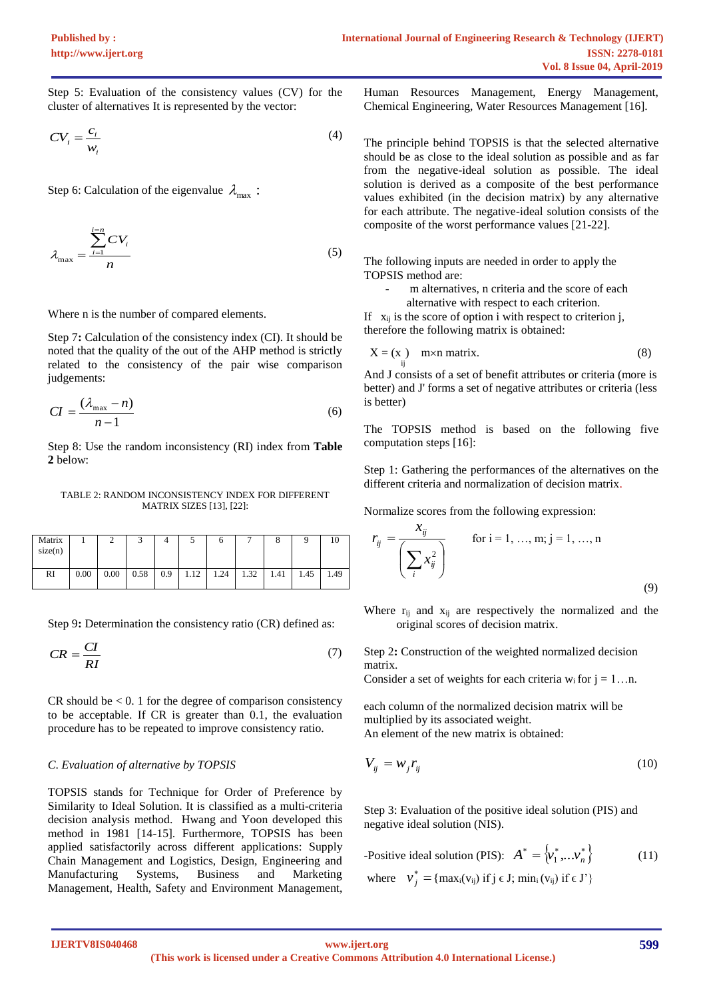Step 5: Evaluation of the consistency values (CV) for the cluster of alternatives It is represented by the vector:

$$
CV_i = \frac{c_i}{w_i} \tag{4}
$$

Step 6: Calculation of the eigenvalue  $\lambda_{\text{max}}$ :

$$
\lambda_{\max} = \frac{\sum_{i=1}^{i=n} CV_i}{n}
$$
 (5)

Where n is the number of compared elements.

Step 7**:** Calculation of the consistency index (CI). It should be noted that the quality of the out of the AHP method is strictly related to the consistency of the pair wise comparison judgements:

$$
CI = \frac{(\lambda_{\text{max}} - n)}{n - 1} \tag{6}
$$

Step 8: Use the random inconsistency (RI) index from **Table 2** below:

TABLE 2: RANDOM INCONSISTENCY INDEX FOR DIFFERENT MATRIX SIZES [13], [22]:

| Matrix<br>size(n) |      |      |      |     | س    | O    |      | Ō    |      |      |
|-------------------|------|------|------|-----|------|------|------|------|------|------|
| RI                | 0.00 | 0.00 | 0.58 | 0.9 | 1.12 | 1.24 | 1.32 | 1.41 | 1.45 | 1.49 |

Step 9**:** Determination the consistency ratio (CR) defined as:

$$
CR = \frac{CI}{RI} \tag{7}
$$

 $CR$  should be  $< 0.1$  for the degree of comparison consistency to be acceptable. If CR is greater than 0.1, the evaluation procedure has to be repeated to improve consistency ratio.

#### *C*. *Evaluation of alternative by TOPSIS*

TOPSIS stands for Technique for Order of Preference by Similarity to Ideal Solution. It is classified as a multi-criteria decision analysis method. Hwang and Yoon developed this method in 1981 [14-15]. Furthermore, TOPSIS has been applied satisfactorily across different applications: Supply Chain Management and Logistics, Design, Engineering and Manufacturing Systems, Business and Marketing Management, Health, Safety and Environment Management,

Human Resources Management, Energy Management, Chemical Engineering, Water Resources Management [16].

The principle behind TOPSIS is that the selected alternative should be as close to the ideal solution as possible and as far from the negative-ideal solution as possible. The ideal solution is derived as a composite of the best performance values exhibited (in the decision matrix) by any alternative for each attribute. The negative-ideal solution consists of the composite of the worst performance values [21-22].

The following inputs are needed in order to apply the TOPSIS method are:

- m alternatives, n criteria and the score of each
	- alternative with respect to each criterion.

If  $x_{ii}$  is the score of option i with respect to criterion j, therefore the following matrix is obtained:

$$
X = (x_i) \quad m \times n \text{ matrix.} \tag{8}
$$

And J consists of a set of benefit attributes or criteria (more is better) and J' forms a set of negative attributes or criteria (less is better)

The TOPSIS method is based on the following five computation steps [16]:

Step 1: Gathering the performances of the alternatives on the different criteria and normalization of decision matrix.

Normalize scores from the following expression:

$$
r_{ij} = \frac{x_{ij}}{\left(\sum_{i} x_{ij}^{2}\right)}
$$
 for i = 1, ..., m; j = 1, ..., n (9)

Where  $r_{ij}$  and  $x_{ij}$  are respectively the normalized and the original scores of decision matrix.

Step 2**:** Construction of the weighted normalized decision matrix.

Consider a set of weights for each criteria  $w_i$  for  $j = 1...n$ .

each column of the normalized decision matrix will be multiplied by its associated weight. An element of the new matrix is obtained:

$$
V_{ij} = w_j r_{ij} \tag{10}
$$

Step 3: Evaluation of the positive ideal solution (PIS) and negative ideal solution (NIS).

-Positive ideal solution (PIS): 
$$
A^* = \{v_1^*, \dots v_n^*\}
$$
 (11)  
where  $v_j^* = \{ \max_i(v_{ij}) \text{ if } j \in J; \min_i(v_{ij}) \text{ if } \in J' \}$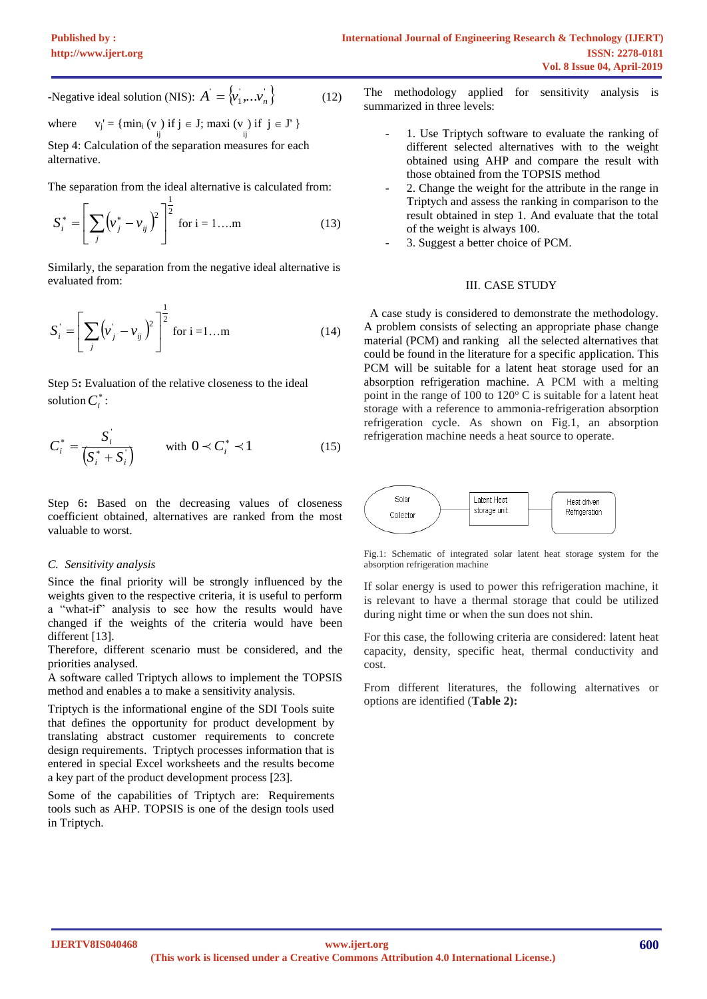-Negative ideal solution (NIS):  $A = \langle v_1, \dots v_n \rangle$  (12)

where  $v_j' = \{ \min_i (v) \text{ if } j \in J; \max_i (v) \text{ if } j \in J' \}$ ij ij Step 4: Calculation of the separation measures for each

alternative.

The separation from the ideal alternative is calculated from:

$$
S_i^* = \left[ \sum_j \left( v_j^* - v_{ij} \right)^2 \right]^{\frac{1}{2}} \text{ for } i = 1...m \tag{13}
$$

Similarly, the separation from the negative ideal alternative is evaluated from:

$$
S_i = \left[ \sum_j (\nu_j - \nu_{ij})^2 \right]^{\frac{1}{2}} \text{ for } i = 1...m \tag{14}
$$

Step 5**:** Evaluation of the relative closeness to the ideal solution  $C_i^*$ :

$$
C_i^* = \frac{S_i^*}{\left(S_i^* + S_i^*\right)} \qquad \text{with } 0 \prec C_i^* \prec 1 \tag{15}
$$

Step 6**:** Based on the decreasing values of closeness coefficient obtained, alternatives are ranked from the most valuable to worst.

#### *C. Sensitivity analysis*

Since the final priority will be strongly influenced by the weights given to the respective criteria, it is useful to perform a "what-if" analysis to see how the results would have changed if the weights of the criteria would have been different [13].

Therefore, different scenario must be considered, and the priorities analysed.

A software called Triptych allows to implement the TOPSIS method and enables a to make a sensitivity analysis.

Triptych is the informational engine of the SDI Tools suite that defines the opportunity for product development by translating abstract customer requirements to concrete design requirements. Triptych processes information that is entered in special Excel worksheets and the results become a key part of the product development process [23].

Some of the capabilities of Triptych are: Requirements tools such as AHP. TOPSIS is one of the design tools used in Triptych.

The methodology applied for sensitivity analysis is summarized in three levels:

- 1. Use Triptych software to evaluate the ranking of different selected alternatives with to the weight obtained using AHP and compare the result with those obtained from the TOPSIS method
- 2. Change the weight for the attribute in the range in Triptych and assess the ranking in comparison to the result obtained in step 1. And evaluate that the total of the weight is always 100.
- 3. Suggest a better choice of PCM.

#### **III. CASE STUDY**

A case study is considered to demonstrate the methodology. A problem consists of selecting an appropriate phase change material (PCM) and ranking all the selected alternatives that could be found in the literature for a specific application. This PCM will be suitable for a latent heat storage used for an absorption refrigeration machine. A PCM with a melting point in the range of 100 to  $120^{\circ}$  C is suitable for a latent heat storage with a reference to ammonia-refrigeration absorption refrigeration cycle. As shown on Fig.1, an absorption refrigeration machine needs a heat source to operate.



Fig.1: Schematic of integrated solar latent heat storage system for the absorption refrigeration machine

If solar energy is used to power this refrigeration machine, it is relevant to have a thermal storage that could be utilized during night time or when the sun does not shin.

For this case, the following criteria are considered: latent heat capacity, density, specific heat, thermal conductivity and cost.

From different literatures, the following alternatives or options are identified (**Table 2):**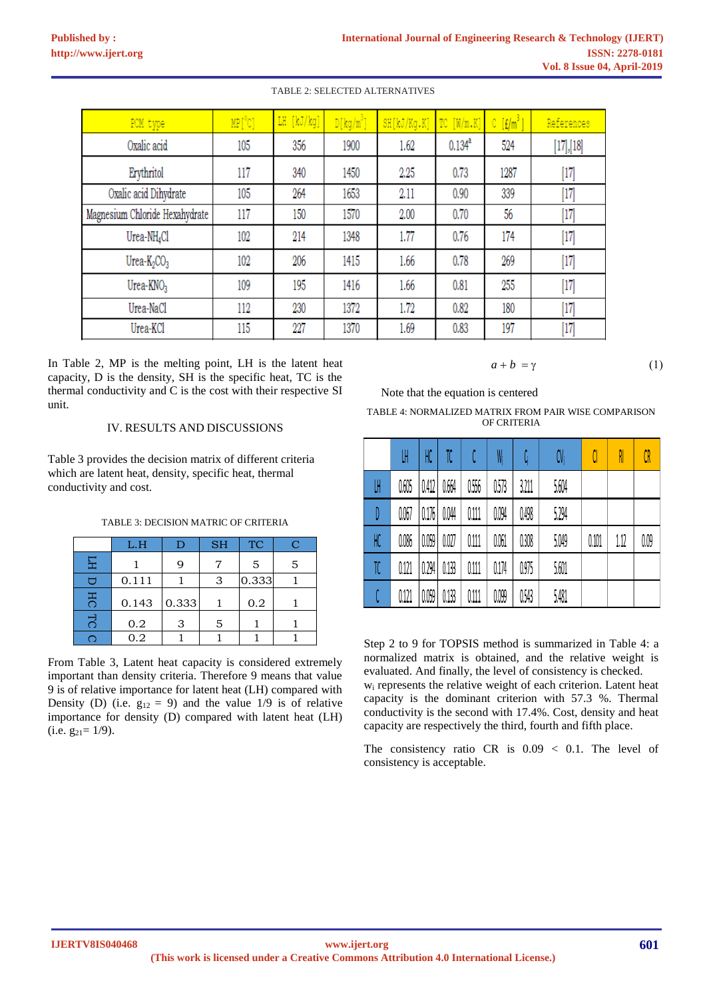| PCM type                       | $MP[^{\circ}C]$ | LH [kJ/kg] | $D[kq/m^3]$ | SH[kJ/Kg.K] | TC[W/m.K]   | $C$ [ $f/m^3$ ] | References |
|--------------------------------|-----------------|------------|-------------|-------------|-------------|-----------------|------------|
| Oxalic acid                    | 105             | 356        | 1900        | 1.62        | $0.134^{a}$ | 524             | [17],[18]  |
| Erythritol                     | 117             | 340        | 1450        | 2.25        | 0.73        | 1287            | [17]       |
| Oxalic acid Dihydrate          | 105             | 264        | 1653        | 2.11        | 0.90        | 339             | [17]       |
| Magnesium Chloride Hexahydrate | 117             | 150        | 1570        | 2.00        | 0.70        | 56              | [17]       |
| Urea-NH <sub>4</sub> Cl        | 102             | 214        | 1348        | 1.77        | 0.76        | 174             | $[17]$     |
| Urea- $K_2CO_3$                | 102             | 206        | 1415        | 1.66        | 0.78        | 269             | [17]       |
| $U$ rea- $KNO3$                | 109             | 195        | 1416        | 1.66        | 0.81        | 255             | $[17]$     |
| Urea-NaCl                      | 112             | 230        | 1372        | 1.72        | 0.82        | 180             | [17]       |
| Urea-KCl                       | 115             | 227        | 1370        | 1.69        | 0.83        | 197             | [17]       |

TABLE 2: SELECTED ALTERNATIVES

In Table 2, MP is the melting point, LH is the latent heat capacity, D is the density, SH is the specific heat, TC is the thermal conductivity and C is the cost with their respective SI unit.

### IV. RESULTS AND DISCUSSIONS

Table 3 provides the decision matrix of different criteria which are latent heat, density, specific heat, thermal conductivity and cost.

#### TABLE 3: DECISION MATRIC OF CRITERIA

|    | L.H   | D     | <b>SH</b> | <b>TC</b> | Ć |
|----|-------|-------|-----------|-----------|---|
|    |       | g     |           | 5         | 5 |
|    | 0.111 |       | 3         | 0.333     |   |
| HC | 0.143 | 0.333 |           | 0.2       |   |
|    | 0.2   | 3     | 5         |           |   |
|    | 0.2   |       |           |           |   |

From Table 3, Latent heat capacity is considered extremely important than density criteria. Therefore 9 means that value 9 is of relative importance for latent heat (LH) compared with Density (D) (i.e.  $g_{12} = 9$ ) and the value 1/9 is of relative importance for density (D) compared with latent heat (LH)  $(i.e. g_{21}=1/9).$ 

$$
a + b = \gamma \tag{1}
$$

Note that the equation is centered

TABLE 4: NORMALIZED MATRIX FROM PAIR WISE COMPARISON OF CRITERIA

|    | LH    | HC    | TC    |       | W     |       | CV    | C     | RI   | CR   |
|----|-------|-------|-------|-------|-------|-------|-------|-------|------|------|
| W  | 0.605 | 0.412 | 0.664 | 0.556 | 0.573 | 3,211 | 5,604 |       |      |      |
| D  | 0.067 | 0.176 | 0.044 | 0.111 | 0.094 | 0.498 | 5,294 |       |      |      |
| HC | 0.086 | 0.059 | 0.027 | 0.111 | 0.061 | 0.308 | 5,049 | 0.101 | 1.12 | 0.09 |
| TC | 0.121 | 0.294 | 0.133 | 0.111 | 0.174 | 0.975 | 5,601 |       |      |      |
| C  | 0.121 | 0.059 | 0.133 | 0.111 | 0,099 | 0,543 | 5,481 |       |      |      |

Step 2 to 9 for TOPSIS method is summarized in Table 4: a normalized matrix is obtained, and the relative weight is evaluated. And finally, the level of consistency is checked. w<sup>i</sup> represents the relative weight of each criterion. Latent heat capacity is the dominant criterion with 57.3 %. Thermal conductivity is the second with 17.4%. Cost, density and heat capacity are respectively the third, fourth and fifth place.

The consistency ratio CR is 0.09 < 0.1. The level of consistency is acceptable.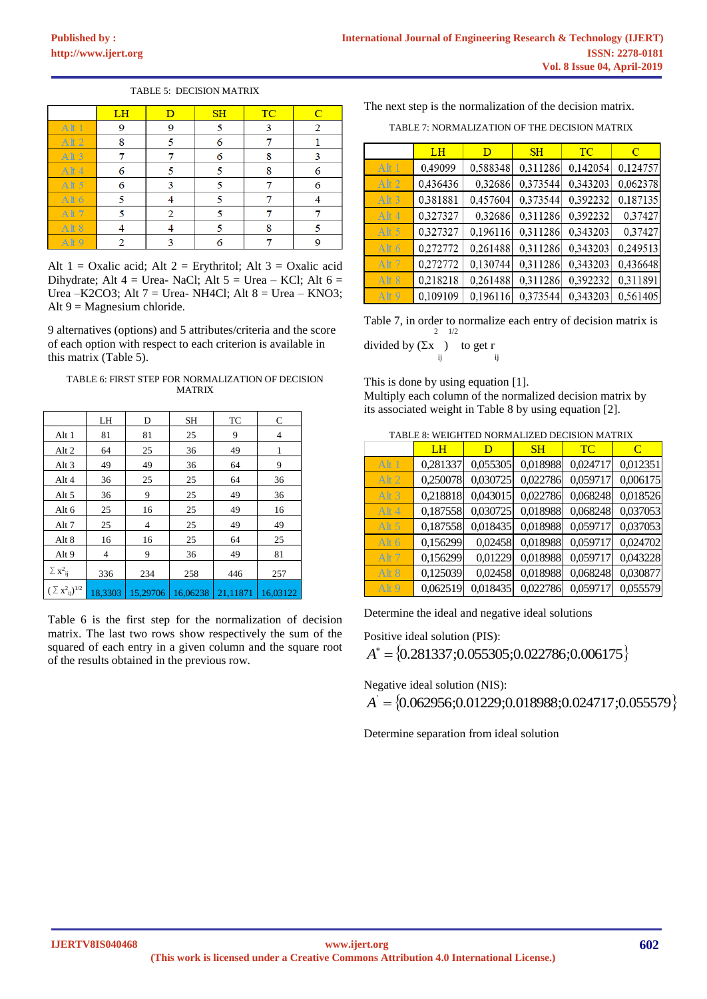#### TABLE 5: DECISION MATRIX

|                  | LH | $\overline{D}$ | SH | <b>TC</b> | $\overline{C}$ |
|------------------|----|----------------|----|-----------|----------------|
| Alt <sub>1</sub> | 9  | 9              |    | 3         | 2              |
| At 2             | 8  |                | 6  |           |                |
| Alt <sub>3</sub> |    |                | 6  | 8         | 3              |
| Alt 4            | 6  |                |    | 8         | 6              |
| At 5             | 6  | 3              |    |           | 6              |
| Alt 6            | ٢  |                |    |           |                |
| Alt <sub>7</sub> |    |                |    |           |                |
| At 8             |    |                |    | 8         |                |
| Alt <sub>9</sub> |    |                |    |           |                |

Alt  $1 =$  Oxalic acid; Alt  $2 =$  Erythritol; Alt  $3 =$  Oxalic acid Dihydrate; Alt  $4 =$  Urea- NaCl; Alt  $5 =$  Urea – KCl; Alt  $6 =$ Urea –K2CO3; Alt  $7 =$  Urea- NH4Cl; Alt  $8 =$  Urea – KNO3; Alt  $9$  = Magnesium chloride.

9 alternatives (options) and 5 attributes/criteria and the score of each option with respect to each criterion is available in this matrix (Table 5).

#### TABLE 6: FIRST STEP FOR NORMALIZATION OF DECISION MATRIX

|                                       | LH      | D        | <b>SH</b> | TC       | C        |
|---------------------------------------|---------|----------|-----------|----------|----------|
| Alt 1                                 | 81      | 81       | 25        | 9        | 4        |
| Alt 2                                 | 64      | 25       | 36        | 49       | 1        |
| Alt 3                                 | 49      | 49       | 36        | 64       | 9        |
| Alt 4                                 | 36      | 25       | 25        | 64       | 36       |
| Alt 5                                 | 36      | 9        | 25        | 49       | 36       |
| Alt 6                                 | 25      | 16       | 25        | 49       | 16       |
| Alt 7                                 | 25      | 4        | 25        | 49       | 49       |
| Alt 8                                 | 16      | 16       | 25        | 64       | 25       |
| Alt 9                                 | 4       | 9        | 36        | 49       | 81       |
| $\Sigma$ $\mathbf{x}^2$ <sub>ij</sub> | 336     | 234      | 258       | 446      | 257      |
| $(\sum x^2_{ii})^{1/2}$               | 18,3303 | 15,29706 | 16.06238  | 21,11871 | 16.03122 |

Table 6 is the first step for the normalization of decision matrix. The last two rows show respectively the sum of the squared of each entry in a given column and the square root of the results obtained in the previous row.

The next step is the normalization of the decision matrix.

TABLE 7: NORMALIZATION OF THE DECISION MATRIX

|                  | LH       | D        | SH       | <b>TC</b> | C        |
|------------------|----------|----------|----------|-----------|----------|
| Alt 1            | 0,49099  | 0,588348 | 0,311286 | 0,142054  | 0,124757 |
| Alt 2            | 0,436436 | 0,32686  | 0,373544 | 0,343203  | 0,062378 |
| Alt <sub>3</sub> | 0.381881 | 0,457604 | 0,373544 | 0,392232  | 0,187135 |
| Alt 4            | 0.327327 | 0,32686  | 0,311286 | 0,392232  | 0,37427  |
| Alt 5            | 0,327327 | 0,196116 | 0,311286 | 0,343203  | 0,37427  |
| Alt 6            | 0.272772 | 0,261488 | 0,311286 | 0,343203  | 0.249513 |
| Alt 7            | 0.272772 | 0,130744 | 0,311286 | 0,343203  | 0,436648 |
| Alt 8            | 0.218218 | 0,261488 | 0,311286 | 0,392232  | 0,311891 |
| Alt <sub>9</sub> | 0,109109 | 0,196116 | 0,373544 | 0,343203  | 0,561405 |

Table 7, in order to normalize each entry of decision matrix is 2 1/2

divided by  $(\Sigma x)$  to get r ij ij

This is done by using equation [1].

Multiply each column of the normalized decision matrix by its associated weight in Table 8 by using equation [2].

TABLE 8: WEIGHTED NORMALIZED DECISION MATRIX

|                  | TABLE 8: WEIGHTED NORMALIZED DECISION MATRIX<br>LH | D        | SH       | <b>TC</b> | C        |
|------------------|----------------------------------------------------|----------|----------|-----------|----------|
| Alt 1            | 0,281337                                           | 0,055305 | 0,018988 | 0,024717  | 0,012351 |
| Alt $2$          | 0,250078                                           | 0,030725 | 0,022786 | 0,059717  | 0,006175 |
| Alt <sub>3</sub> | 0,218818                                           | 0,043015 | 0,022786 | 0,068248  | 0,018526 |
| Alt 4            | 0,187558                                           | 0,030725 | 0,018988 | 0,068248  | 0,037053 |
| Alt $5$          | 0,187558                                           | 0,018435 | 0,018988 | 0,059717  | 0,037053 |
| Alt $6$          | 0,156299                                           | 0,02458  | 0,018988 | 0,059717  | 0,024702 |
| Alt <sub>7</sub> | 0,156299                                           | 0,01229  | 0,018988 | 0,059717  | 0,043228 |
| Alt <sub>8</sub> | 0,125039                                           | 0,02458  | 0,018988 | 0,068248  | 0,030877 |
| Alt <sub>9</sub> | 0,062519                                           | 0,018435 | 0,022786 | 0,059717  | 0,055579 |

Determine the ideal and negative ideal solutions

Positive ideal solution (PIS):

 $A^* = \{0.281337; 0.055305; 0.022786; 0.006175\}$ 

Negative ideal solution (NIS):

 $A = \{0.062956; 0.01229; 0.018988; 0.024717; 0.055579\}$ 

Determine separation from ideal solution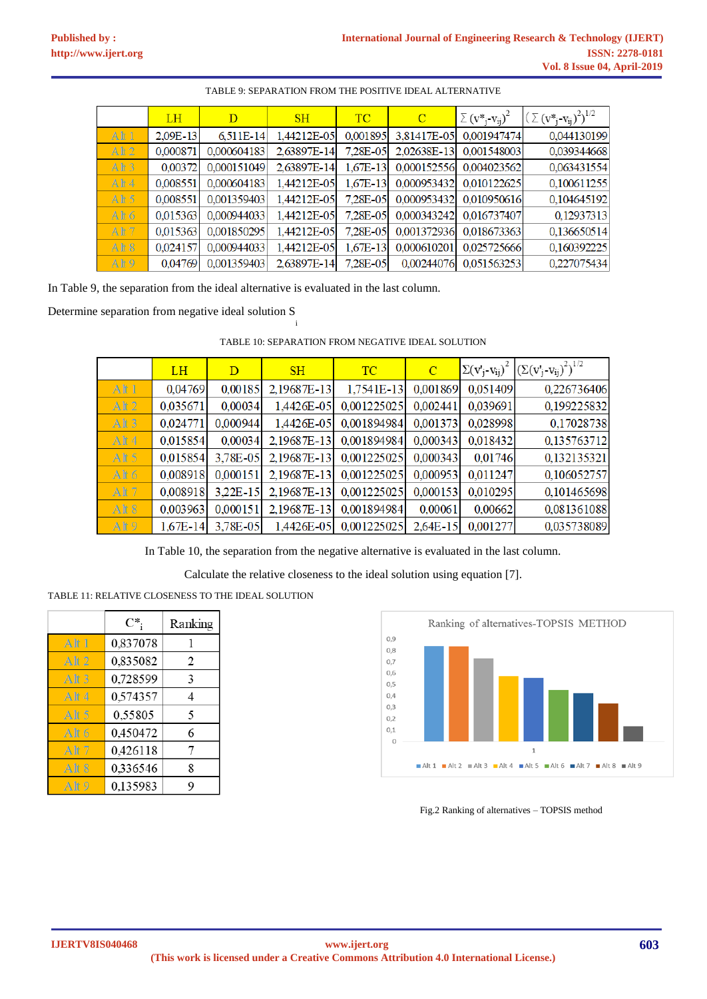|                 | <b>LH</b>    | D           | <b>SH</b>   | <b>TC</b>    | $\mathbf C$ | $\sum$ (v <sup>*</sup> <sub>i</sub> -v <sub>ii</sub> ) <sup>2</sup> | $(\sum (v^*_{j} - v_{ij})^2)^{1/2}$ |
|-----------------|--------------|-------------|-------------|--------------|-------------|---------------------------------------------------------------------|-------------------------------------|
| At1             | $2.09E - 13$ | 6.511E-14   | 1.44212E-05 | 0.001895     | 3,81417E-05 | 0.001947474                                                         | 0,044130199                         |
| Alt2            | 0,000871     | 0,000604183 | 2,63897E-14 | 7,28E-05     | 2,02638E-13 | 0,001548003                                                         | 0,039344668                         |
| Alt3            | 0.00372      | 0,000151049 | 2,63897E-14 | $1,67E-13$   | 0,000152556 | 0,004023562                                                         | 0,063431554                         |
| At 4            | 0,008551     | 0,000604183 | 1,44212E-05 | $1,67E-13$   | 0,000953432 | 0,010122625                                                         | 0,100611255                         |
| At 5            | 0.008551     | 0.001359403 | 1,44212E-05 | 7.28E-05     | 0.000953432 | 0.010950616                                                         | 0,104645192                         |
| Alt $6$         | 0.015363     | 0.000944033 | 1,44212E-05 | 7.28E-05     | 0,000343242 | 0.016737407                                                         | 0,12937313                          |
| At 7            | 0.015363     | 0,001850295 | 1,44212E-05 | 7.28E-05     | 0,001372936 | 0.018673363                                                         | 0,136650514                         |
| At 8            | 0.024157     | 0,000944033 | 1,44212E-05 | $1.67E - 13$ | 0,000610201 | 0,025725666                                                         | 0,160392225                         |
| Ah <sub>9</sub> | 0,04769      | 0,001359403 | 2,63897E-14 | 7.28E-05     | 0,00244076  | 0,051563253                                                         | 0,227075434                         |

## TABLE 9: SEPARATION FROM THE POSITIVE IDEAL ALTERNATIVE

In Table 9, the separation from the ideal alternative is evaluated in the last column.

i

Determine separation from negative ideal solution S

|                  | <b>LH</b>  | D          | SH          | <b>TC</b>              | $\mathbf C$ |          | $\sum (v'_i - v_{ij})^2 \left[ \left( \sum (v'_i - v_{ij})^2 \right)^{1/2} \right]$ |
|------------------|------------|------------|-------------|------------------------|-------------|----------|-------------------------------------------------------------------------------------|
| At 1             | 0,04769    | 0,00185    | 2,19687E-13 | 1,7541E-13             | 0,001869    | 0,051409 | 0,226736406                                                                         |
| At 2             | 0,035671   | 0,00034    | 1,4426E-05  | 0,001225025            | 0,002441    | 0,039691 | 0,199225832                                                                         |
| Alt <sub>3</sub> | 0,024771   | 0,000944   | 1,4426E-05  | 0,001894984            | 0,001373    | 0,028998 | 0,17028738                                                                          |
| Alt4             | 0,015854   | 0,00034    | 2,19687E-13 | 0,001894984            | 0,000343    | 0,018432 | 0,135763712                                                                         |
| Alt 5            | 0.015854   | 3,78E-05   | 2,19687E-13 | 0,001225025            | 0,000343    | 0,01746  | 0,132135321                                                                         |
| Alt 6            | 0,008918   | 0,000151   | 2,19687E-13 | 0,001225025            | 0,000953    | 0,011247 | 0,106052757                                                                         |
| Alt <sub>7</sub> | 0,008918   | $3,22E-15$ | 2,19687E-13 | 0,001225025            | 0,000153    | 0,010295 | 0,101465698                                                                         |
| Alt <sub>8</sub> | 0,003963   | 0,000151   | 2,19687E-13 | 0,001894984            | 0,00061     | 0,00662  | 0,081361088                                                                         |
| Alt <sub>9</sub> | $1,67E-14$ | 3,78E-05   |             | 1,4426E-05 0,001225025 | $2,64E-15$  | 0,001277 | 0,035738089                                                                         |

TABLE 10: SEPARATION FROM NEGATIVE IDEAL SOLUTION

In Table 10, the separation from the negative alternative is evaluated in the last column.

Calculate the relative closeness to the ideal solution using equation [7].

TABLE 11: RELATIVE CLOSENESS TO THE IDEAL SOLUTION

|                  | $\mathrm{C}^*$ | Ranking |
|------------------|----------------|---------|
| Alt1             | 0,837078       | 1       |
| Alt <sub>2</sub> | 0,835082       | 2       |
| Alt 3            | 0,728599       | 3       |
| Alt 4            | 0,574357       | 4       |
| At 5             | 0,55805        | 5       |
| Alt 6            | 0,450472       | 6       |
| Alt 7            | 0,426118       | 7       |
| Alt 8            | 0,336546       | 8       |
| Alf9             | 0,135983       | 9       |



Fig.2 Ranking of alternatives – TOPSIS method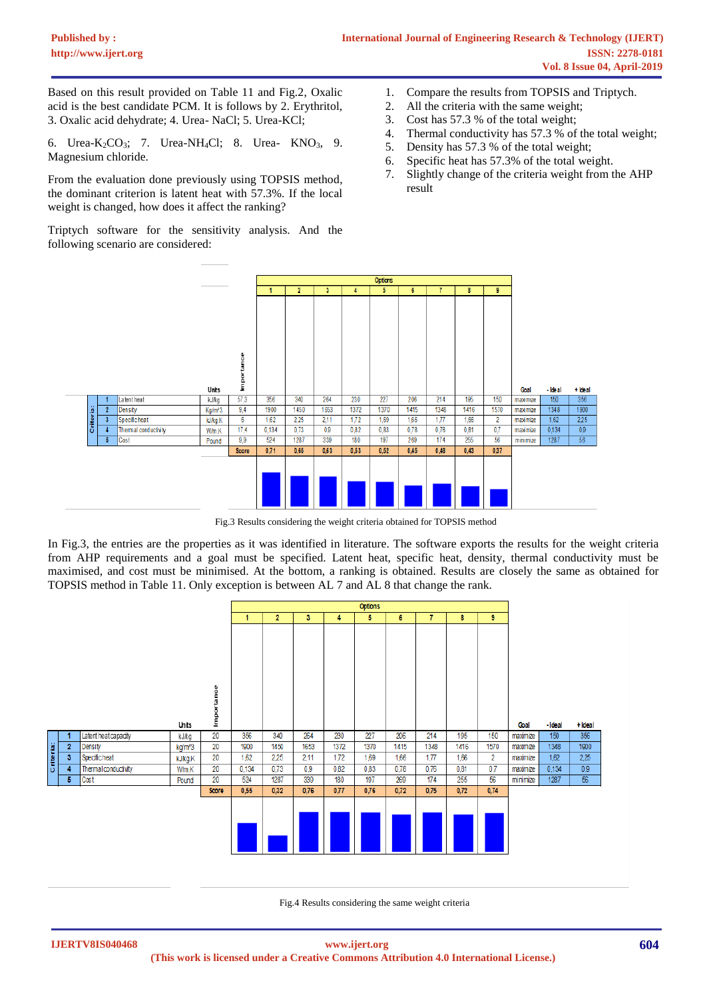Based on this result provided on Table 11 and Fig.2, Oxalic acid is the best candidate PCM. It is follows by 2. Erythritol, 3. Oxalic acid dehydrate; 4. Urea- NaCl; 5. Urea-KCl;

6. Urea-K<sub>2</sub>CO<sub>3</sub>; 7. Urea-NH<sub>4</sub>Cl; 8. Urea- KNO<sub>3</sub>, 9. Magnesium chloride.

From the evaluation done previously using TOPSIS method, the dominant criterion is latent heat with 57.3%. If the local weight is changed, how does it affect the ranking?

Triptych software for the sensitivity analysis. And the following scenario are considered:

- 1. Compare the results from TOPSIS and Triptych.
- 2. All the criteria with the same weight;
- 3. Cost has 57.3 % of the total weight;
- 4. Thermal conductivity has 57.3 % of the total weight;
- 5. Density has 57.3 % of the total weight;
- 6. Specific heat has 57.3% of the total weight.
- 7. Slightly change of the criteria weight from the AHP result



Fig.3 Results considering the weight criteria obtained for TOPSIS method

In Fig.3, the entries are the properties as it was identified in literature. The software exports the results for the weight criteria from AHP requirements and a goal must be specified. Latent heat, specific heat, density, thermal conductivity must be maximised, and cost must be minimised. At the bottom, a ranking is obtained. Results are closely the same as obtained for TOPSIS method in Table 11. Only exception is between AL 7 and AL 8 that change the rank.



Fig.4 Results considering the same weight criteria